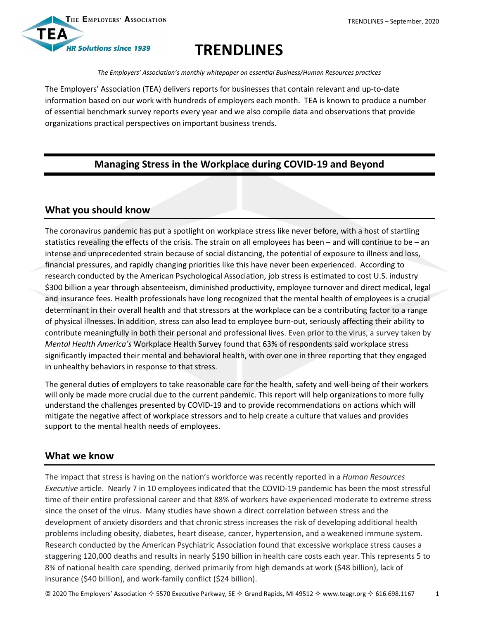

# **TRENDLINES**

*The Employers' Association's monthly whitepaper on essential Business/Human Resources practices*

The Employers' Association (TEA) delivers reports for businesses that contain relevant and up-to-date information based on our work with hundreds of employers each month. TEA is known to produce a number of essential benchmark survey reports every year and we also compile data and observations that provide organizations practical perspectives on important business trends.

# **Managing Stress in the Workplace during COVID-19 and Beyond**

# **What you should know**

The coronavirus pandemic has put a spotlight on workplace stress like never before, with a host of startling statistics revealing the effects of the crisis. The strain on all employees has been – and will continue to be – an intense and unprecedented strain because of social distancing, the potential of exposure to illness and loss, financial pressures, and rapidly changing priorities like this have never been experienced. According to research conducted by the American Psychological Association, job stress is estimated to cost U.S. industry \$300 billion a year through absenteeism, diminished productivity, employee turnover and direct medical, legal and insurance fees. Health professionals have long recognized that the mental health of employees is a crucial determinant in their overall health and that stressors at the workplace can be a contributing factor to a range of physical illnesses. In addition, stress can also lead to employee burn-out, seriously affecting their ability to contribute meaningfully in both their personal and professional lives. Even prior to the virus, a survey taken by *Mental Health America's* Workplace Health Survey found that 63% of respondents said workplace stress significantly impacted their mental and behavioral health, with over one in three reporting that they engaged in unhealthy behaviors in response to that stress.

The general duties of employers to take reasonable care for the health, safety and well-being of their workers will only be made more crucial due to the current pandemic. This report will help organizations to more fully understand the challenges presented by COVID-19 and to provide recommendations on actions which will mitigate the negative affect of workplace stressors and to help create a culture that values and provides support to the mental health needs of employees.

### **What we know**

The impact that stress is having on the nation's workforce was recently reported in a *Human Resources Executive* article. Nearly 7 in 10 employees indicated that the COVID-19 pandemic has been the most stressful time of their entire professional career and that 88% of workers have experienced moderate to extreme stress since the onset of the virus. Many studies have shown a direct correlation between stress and the development of anxiety disorders and that chronic stress increases the risk of developing additional health problems including obesity, diabetes, heart disease, cancer, hypertension, and a weakened immune system. Research conducted by the American Psychiatric Association found that excessive workplace stress causes a staggering 120,000 deaths and results in nearly \$190 billion in health care costs each year. This represents 5 to 8% of national health care spending, derived primarily from high demands at work (\$48 billion), lack of insurance (\$40 billion), and work-family conflict (\$24 billion).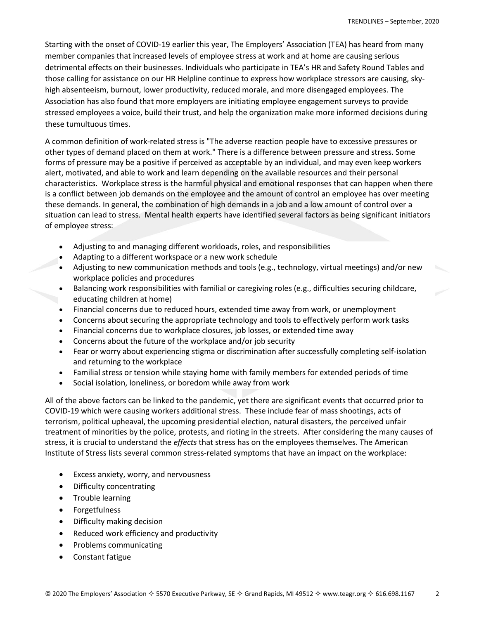Starting with the onset of COVID-19 earlier this year, The Employers' Association (TEA) has heard from many member companies that increased levels of employee stress at work and at home are causing serious detrimental effects on their businesses. Individuals who participate in TEA's HR and Safety Round Tables and those calling for assistance on our HR Helpline continue to express how workplace stressors are causing, skyhigh absenteeism, burnout, lower productivity, reduced morale, and more disengaged employees. The Association has also found that more employers are initiating employee engagement surveys to provide stressed employees a voice, build their trust, and help the organization make more informed decisions during these tumultuous times.

A common definition of work-related stress is "The adverse reaction people have to excessive pressures or other types of demand placed on them at work." There is a difference between pressure and stress. Some forms of pressure may be a positive if perceived as acceptable by an individual, and may even keep workers alert, motivated, and able to work and learn depending on the available resources and their personal characteristics. Workplace stress is the harmful physical and emotional responses that can happen when there is a conflict between job demands on the employee and the amount of control an employee has over meeting these demands. In general, the combination of high demands in a job and a low amount of control over a situation can lead to stress. Mental health experts have identified several factors as being significant initiators of employee stress:

- Adjusting to and managing different workloads, roles, and responsibilities
- Adapting to a different workspace or a new work schedule
- Adjusting to new communication methods and tools (e.g., technology, virtual meetings) and/or new workplace policies and procedures
- Balancing work responsibilities with familial or caregiving roles (e.g., difficulties securing childcare, educating children at home)
- Financial concerns due to reduced hours, extended time away from work, or unemployment
- Concerns about securing the appropriate technology and tools to effectively perform work tasks
- Financial concerns due to workplace closures, job losses, or extended time away
- Concerns about the future of the workplace and/or job security
- Fear or worry about experiencing stigma or discrimination after successfully completing self-isolation and returning to the workplace
- Familial stress or tension while staying home with family members for extended periods of time
- Social isolation, loneliness, or boredom while away from work

All of the above factors can be linked to the pandemic, yet there are significant events that occurred prior to COVID-19 which were causing workers additional stress. These include fear of mass shootings, acts of terrorism, political upheaval, the upcoming presidential election, natural disasters, the perceived unfair treatment of minorities by the police, protests, and rioting in the streets. After considering the many causes of stress, it is crucial to understand the *effects* that stress has on the employees themselves. The American Institute of Stress lists several common stress-related symptoms that have an impact on the workplace:

- Excess anxiety, worry, and nervousness
- Difficulty concentrating
- Trouble learning
- Forgetfulness
- Difficulty making decision
- Reduced work efficiency and productivity
- Problems communicating
- Constant fatigue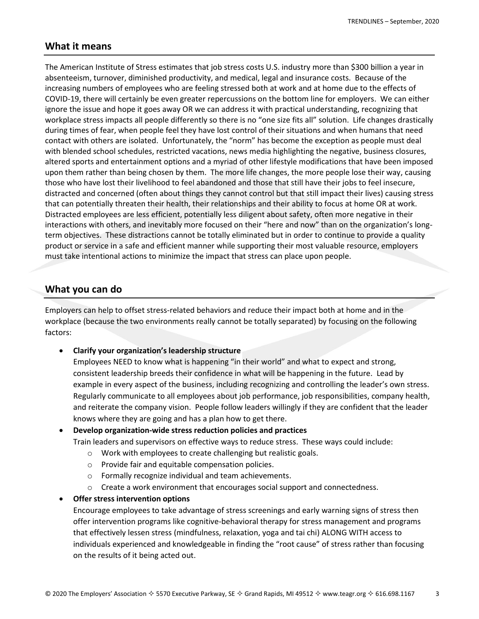### **What it means**

The American Institute of Stress estimates that job stress costs U.S. industry more than \$300 billion a year in absenteeism, turnover, diminished productivity, and medical, legal and insurance costs. Because of the increasing numbers of employees who are feeling stressed both at work and at home due to the effects of COVID-19, there will certainly be even greater repercussions on the bottom line for employers. We can either ignore the issue and hope it goes away OR we can address it with practical understanding, recognizing that workplace stress impacts all people differently so there is no "one size fits all" solution. Life changes drastically during times of fear, when people feel they have lost control of their situations and when humans that need contact with others are isolated. Unfortunately, the "norm" has become the exception as people must deal with blended school schedules, restricted vacations, news media highlighting the negative, business closures, altered sports and entertainment options and a myriad of other lifestyle modifications that have been imposed upon them rather than being chosen by them. The more life changes, the more people lose their way, causing those who have lost their livelihood to feel abandoned and those that still have their jobs to feel insecure, distracted and concerned (often about things they cannot control but that still impact their lives) causing stress that can potentially threaten their health, their relationships and their ability to focus at home OR at work. Distracted employees are less efficient, potentially less diligent about safety, often more negative in their interactions with others, and inevitably more focused on their "here and now" than on the organization's longterm objectives. These distractions cannot be totally eliminated but in order to continue to provide a quality product or service in a safe and efficient manner while supporting their most valuable resource, employers must take intentional actions to minimize the impact that stress can place upon people.

### **What you can do**

Employers can help to offset stress-related behaviors and reduce their impact both at home and in the workplace (because the two environments really cannot be totally separated) by focusing on the following factors:

**Clarify your organization's leadership structure**

Employees NEED to know what is happening "in their world" and what to expect and strong, consistent leadership breeds their confidence in what will be happening in the future. Lead by example in every aspect of the business, including recognizing and controlling the leader's own stress. Regularly communicate to all employees about job performance, job responsibilities, company health, and reiterate the company vision. People follow leaders willingly if they are confident that the leader knows where they are going and has a plan how to get there.

**Develop organization-wide stress reduction policies and practices**

Train leaders and supervisors on effective ways to reduce stress. These ways could include:

- o Work with employees to create challenging but realistic goals.
- o Provide fair and equitable compensation policies.
- o Formally recognize individual and team achievements.
- $\circ$  Create a work environment that encourages social support and connectedness.
- **Offer stress intervention options**

Encourage employees to take advantage of stress screenings and early warning signs of stress then offer intervention programs like cognitive-behavioral therapy for stress management and programs that effectively lessen stress (mindfulness, relaxation, yoga and tai chi) ALONG WITH access to individuals experienced and knowledgeable in finding the "root cause" of stress rather than focusing on the results of it being acted out.